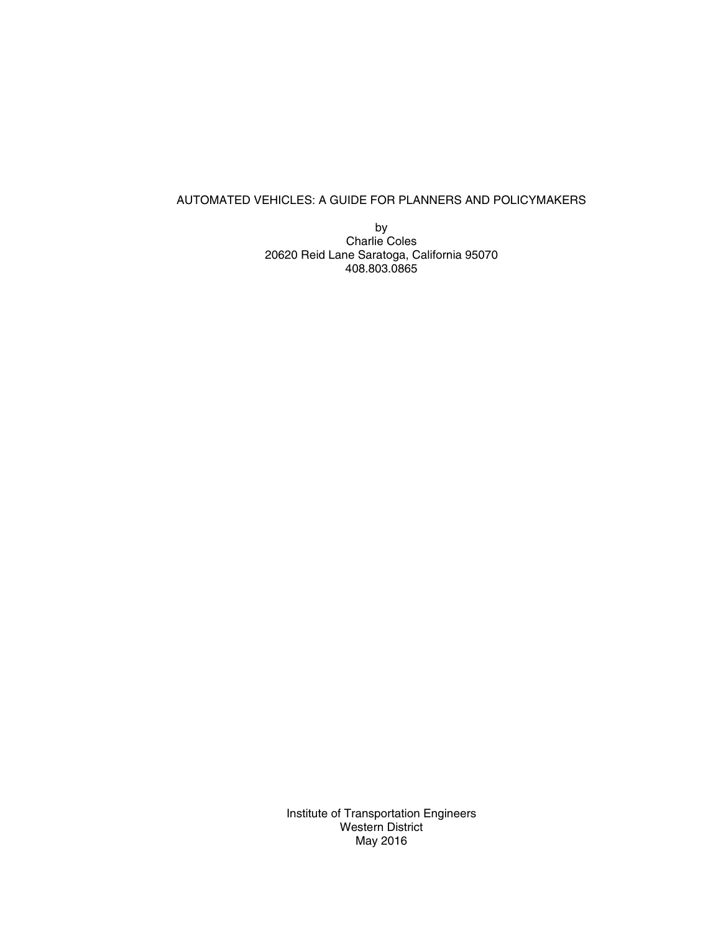# AUTOMATED VEHICLES: A GUIDE FOR PLANNERS AND POLICYMAKERS

by Charlie Coles 20620 Reid Lane Saratoga, California 95070 408.803.0865

Institute of Transportation Engineers Western District May 2016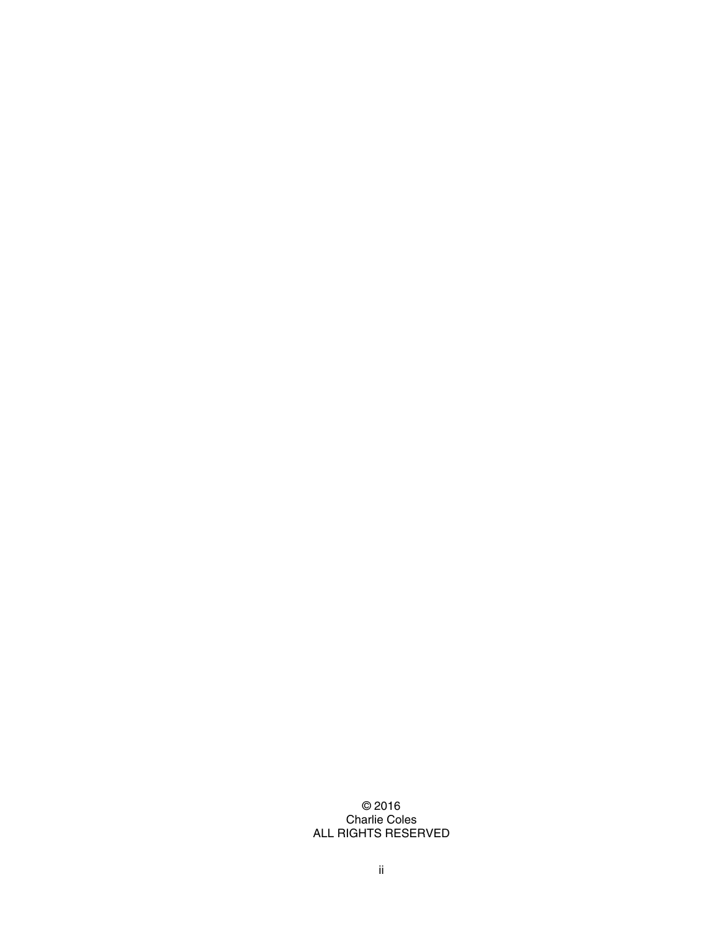# © 2016 Charlie Coles ALL RIGHTS RESERVED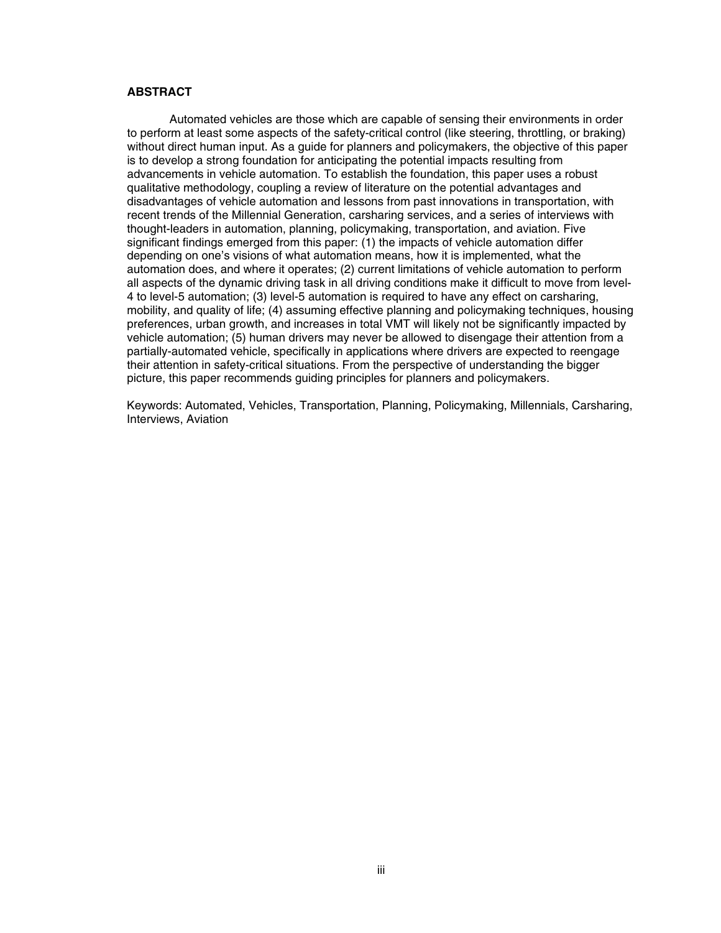## **ABSTRACT**

Automated vehicles are those which are capable of sensing their environments in order to perform at least some aspects of the safety-critical control (like steering, throttling, or braking) without direct human input. As a guide for planners and policymakers, the objective of this paper is to develop a strong foundation for anticipating the potential impacts resulting from advancements in vehicle automation. To establish the foundation, this paper uses a robust qualitative methodology, coupling a review of literature on the potential advantages and disadvantages of vehicle automation and lessons from past innovations in transportation, with recent trends of the Millennial Generation, carsharing services, and a series of interviews with thought-leaders in automation, planning, policymaking, transportation, and aviation. Five significant findings emerged from this paper: (1) the impacts of vehicle automation differ depending on one's visions of what automation means, how it is implemented, what the automation does, and where it operates; (2) current limitations of vehicle automation to perform all aspects of the dynamic driving task in all driving conditions make it difficult to move from level-4 to level-5 automation; (3) level-5 automation is required to have any effect on carsharing, mobility, and quality of life; (4) assuming effective planning and policymaking techniques, housing preferences, urban growth, and increases in total VMT will likely not be significantly impacted by vehicle automation; (5) human drivers may never be allowed to disengage their attention from a partially-automated vehicle, specifically in applications where drivers are expected to reengage their attention in safety-critical situations. From the perspective of understanding the bigger picture, this paper recommends guiding principles for planners and policymakers.

Keywords: Automated, Vehicles, Transportation, Planning, Policymaking, Millennials, Carsharing, Interviews, Aviation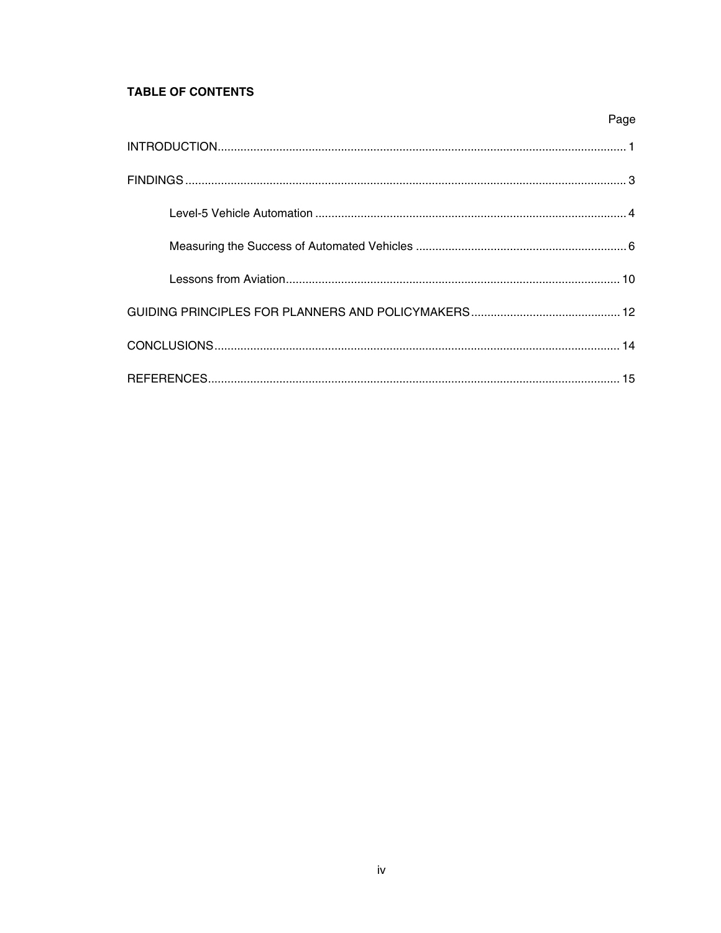# **TABLE OF CONTENTS**

| Page |
|------|
|      |
|      |
|      |
|      |
|      |
|      |
|      |
|      |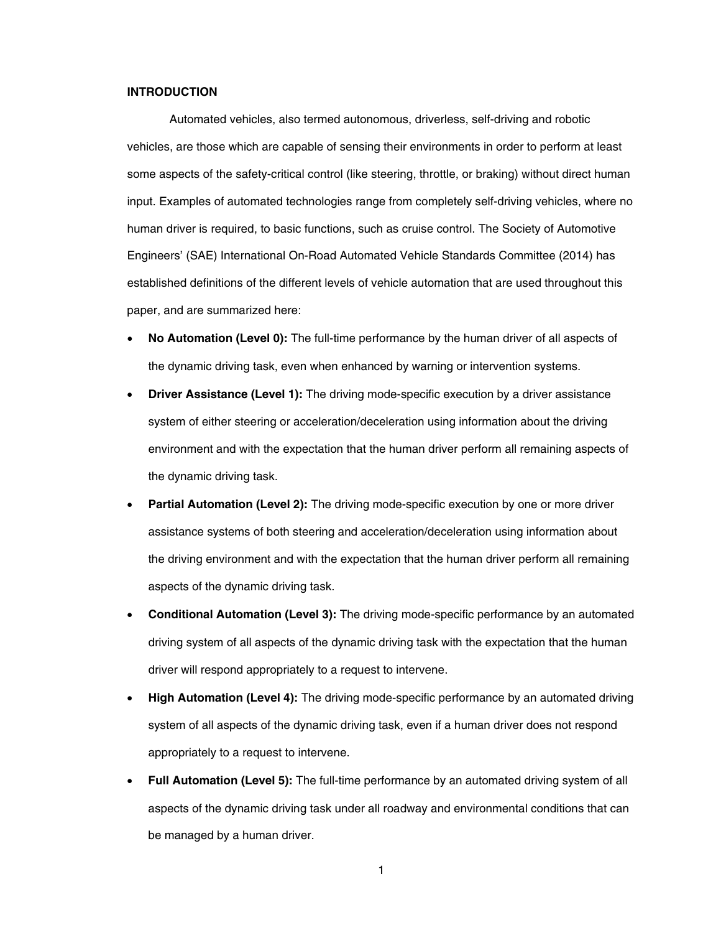## <span id="page-4-0"></span>**INTRODUCTION**

Automated vehicles, also termed autonomous, driverless, self-driving and robotic vehicles, are those which are capable of sensing their environments in order to perform at least some aspects of the safety-critical control (like steering, throttle, or braking) without direct human input. Examples of automated technologies range from completely self-driving vehicles, where no human driver is required, to basic functions, such as cruise control. The Society of Automotive Engineers' (SAE) International On-Road Automated Vehicle Standards Committee (2014) has established definitions of the different levels of vehicle automation that are used throughout this paper, and are summarized here:

- **No Automation (Level 0):** The full-time performance by the human driver of all aspects of the dynamic driving task, even when enhanced by warning or intervention systems.
- **Driver Assistance (Level 1):** The driving mode-specific execution by a driver assistance system of either steering or acceleration/deceleration using information about the driving environment and with the expectation that the human driver perform all remaining aspects of the dynamic driving task.
- **Partial Automation (Level 2):** The driving mode-specific execution by one or more driver assistance systems of both steering and acceleration/deceleration using information about the driving environment and with the expectation that the human driver perform all remaining aspects of the dynamic driving task.
- **Conditional Automation (Level 3):** The driving mode-specific performance by an automated driving system of all aspects of the dynamic driving task with the expectation that the human driver will respond appropriately to a request to intervene.
- **High Automation (Level 4):** The driving mode-specific performance by an automated driving system of all aspects of the dynamic driving task, even if a human driver does not respond appropriately to a request to intervene.
- **Full Automation (Level 5):** The full-time performance by an automated driving system of all aspects of the dynamic driving task under all roadway and environmental conditions that can be managed by a human driver.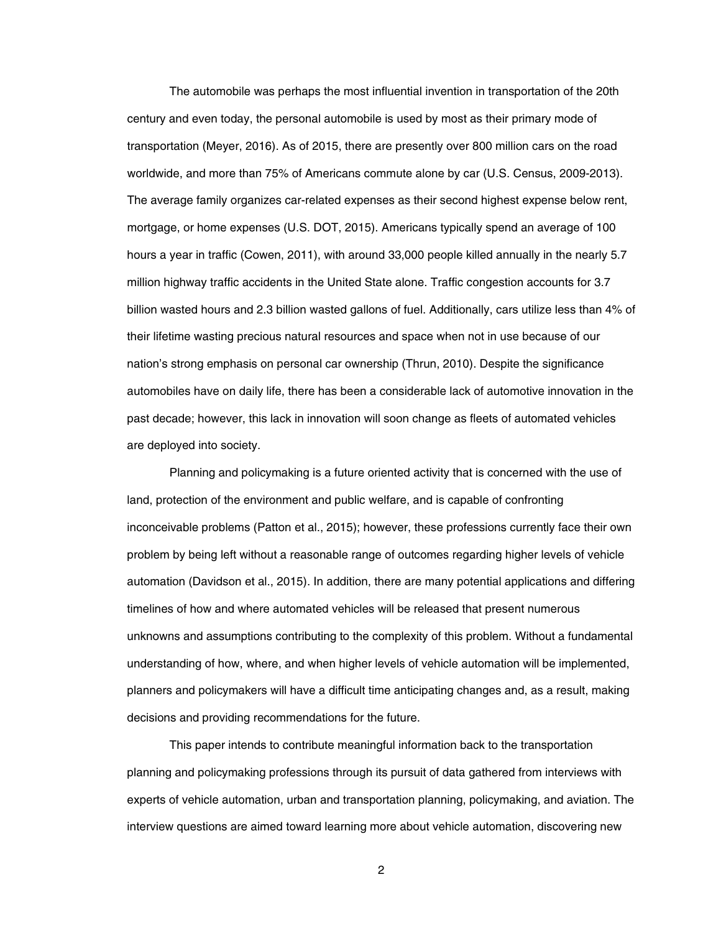The automobile was perhaps the most influential invention in transportation of the 20th century and even today, the personal automobile is used by most as their primary mode of transportation (Meyer, 2016). As of 2015, there are presently over 800 million cars on the road worldwide, and more than 75% of Americans commute alone by car (U.S. Census, 2009-2013). The average family organizes car-related expenses as their second highest expense below rent, mortgage, or home expenses (U.S. DOT, 2015). Americans typically spend an average of 100 hours a year in traffic (Cowen, 2011), with around 33,000 people killed annually in the nearly 5.7 million highway traffic accidents in the United State alone. Traffic congestion accounts for 3.7 billion wasted hours and 2.3 billion wasted gallons of fuel. Additionally, cars utilize less than 4% of their lifetime wasting precious natural resources and space when not in use because of our nation's strong emphasis on personal car ownership (Thrun, 2010). Despite the significance automobiles have on daily life, there has been a considerable lack of automotive innovation in the past decade; however, this lack in innovation will soon change as fleets of automated vehicles are deployed into society.

Planning and policymaking is a future oriented activity that is concerned with the use of land, protection of the environment and public welfare, and is capable of confronting inconceivable problems (Patton et al., 2015); however, these professions currently face their own problem by being left without a reasonable range of outcomes regarding higher levels of vehicle automation (Davidson et al., 2015). In addition, there are many potential applications and differing timelines of how and where automated vehicles will be released that present numerous unknowns and assumptions contributing to the complexity of this problem. Without a fundamental understanding of how, where, and when higher levels of vehicle automation will be implemented, planners and policymakers will have a difficult time anticipating changes and, as a result, making decisions and providing recommendations for the future.

This paper intends to contribute meaningful information back to the transportation planning and policymaking professions through its pursuit of data gathered from interviews with experts of vehicle automation, urban and transportation planning, policymaking, and aviation. The interview questions are aimed toward learning more about vehicle automation, discovering new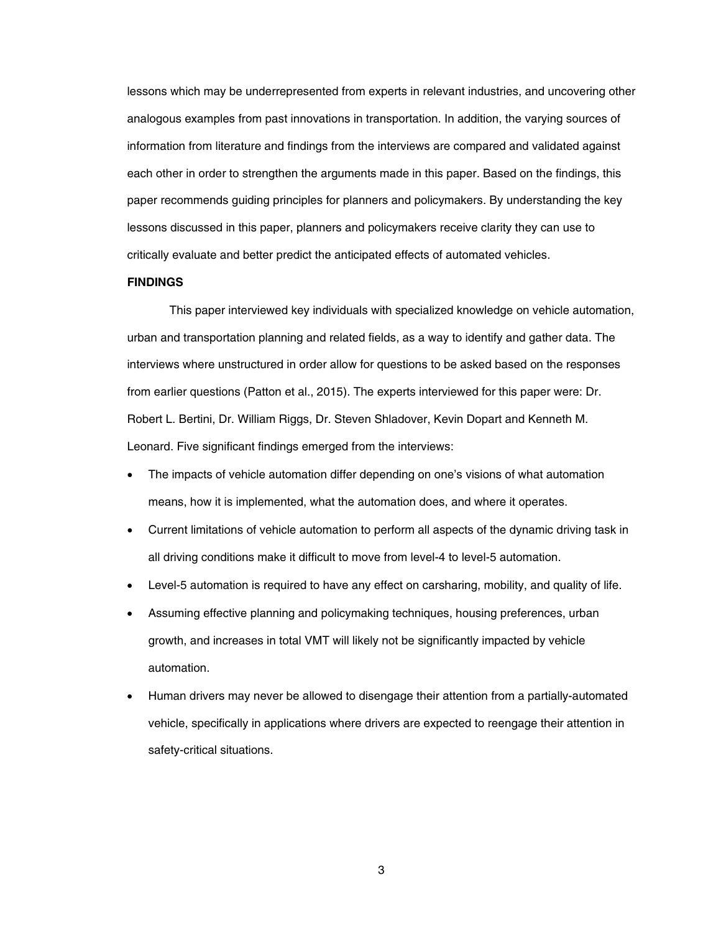lessons which may be underrepresented from experts in relevant industries, and uncovering other analogous examples from past innovations in transportation. In addition, the varying sources of information from literature and findings from the interviews are compared and validated against each other in order to strengthen the arguments made in this paper. Based on the findings, this paper recommends guiding principles for planners and policymakers. By understanding the key lessons discussed in this paper, planners and policymakers receive clarity they can use to critically evaluate and better predict the anticipated effects of automated vehicles.

#### <span id="page-6-0"></span>**FINDINGS**

This paper interviewed key individuals with specialized knowledge on vehicle automation, urban and transportation planning and related fields, as a way to identify and gather data. The interviews where unstructured in order allow for questions to be asked based on the responses from earlier questions (Patton et al., 2015). The experts interviewed for this paper were: Dr. Robert L. Bertini, Dr. William Riggs, Dr. Steven Shladover, Kevin Dopart and Kenneth M. Leonard. Five significant findings emerged from the interviews:

- The impacts of vehicle automation differ depending on one's visions of what automation means, how it is implemented, what the automation does, and where it operates.
- Current limitations of vehicle automation to perform all aspects of the dynamic driving task in all driving conditions make it difficult to move from level-4 to level-5 automation.
- Level-5 automation is required to have any effect on carsharing, mobility, and quality of life.
- Assuming effective planning and policymaking techniques, housing preferences, urban growth, and increases in total VMT will likely not be significantly impacted by vehicle automation.
- Human drivers may never be allowed to disengage their attention from a partially-automated vehicle, specifically in applications where drivers are expected to reengage their attention in safety-critical situations.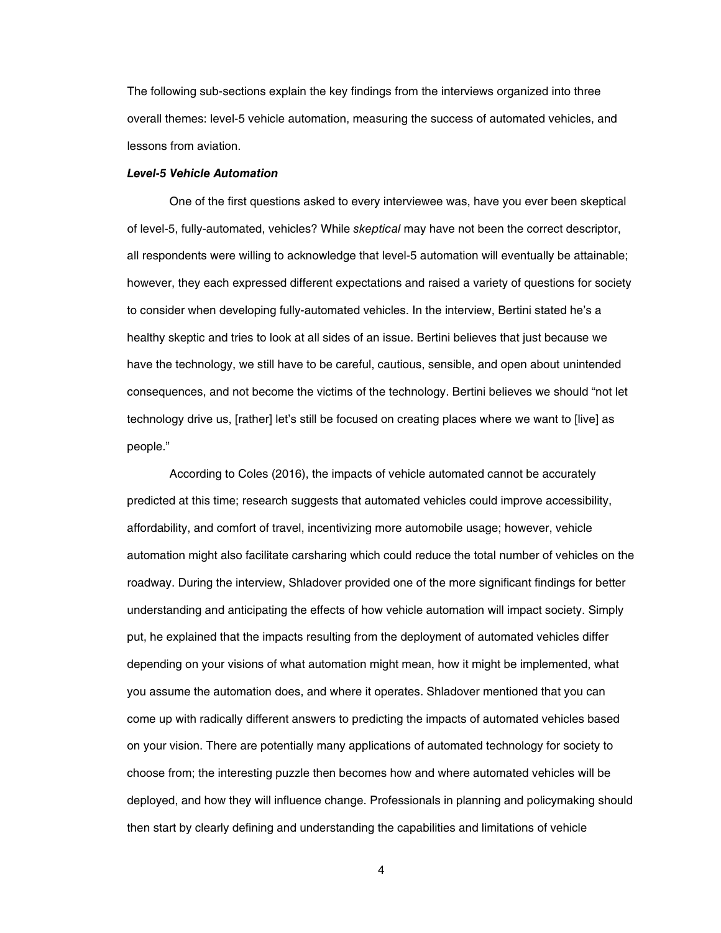The following sub-sections explain the key findings from the interviews organized into three overall themes: level-5 vehicle automation, measuring the success of automated vehicles, and lessons from aviation.

#### <span id="page-7-0"></span>*Level-5 Vehicle Automation*

One of the first questions asked to every interviewee was, have you ever been skeptical of level-5, fully-automated, vehicles? While *skeptical* may have not been the correct descriptor, all respondents were willing to acknowledge that level-5 automation will eventually be attainable; however, they each expressed different expectations and raised a variety of questions for society to consider when developing fully-automated vehicles. In the interview, Bertini stated he's a healthy skeptic and tries to look at all sides of an issue. Bertini believes that just because we have the technology, we still have to be careful, cautious, sensible, and open about unintended consequences, and not become the victims of the technology. Bertini believes we should "not let technology drive us, [rather] let's still be focused on creating places where we want to [live] as people."

According to Coles (2016), the impacts of vehicle automated cannot be accurately predicted at this time; research suggests that automated vehicles could improve accessibility, affordability, and comfort of travel, incentivizing more automobile usage; however, vehicle automation might also facilitate carsharing which could reduce the total number of vehicles on the roadway. During the interview, Shladover provided one of the more significant findings for better understanding and anticipating the effects of how vehicle automation will impact society. Simply put, he explained that the impacts resulting from the deployment of automated vehicles differ depending on your visions of what automation might mean, how it might be implemented, what you assume the automation does, and where it operates. Shladover mentioned that you can come up with radically different answers to predicting the impacts of automated vehicles based on your vision. There are potentially many applications of automated technology for society to choose from; the interesting puzzle then becomes how and where automated vehicles will be deployed, and how they will influence change. Professionals in planning and policymaking should then start by clearly defining and understanding the capabilities and limitations of vehicle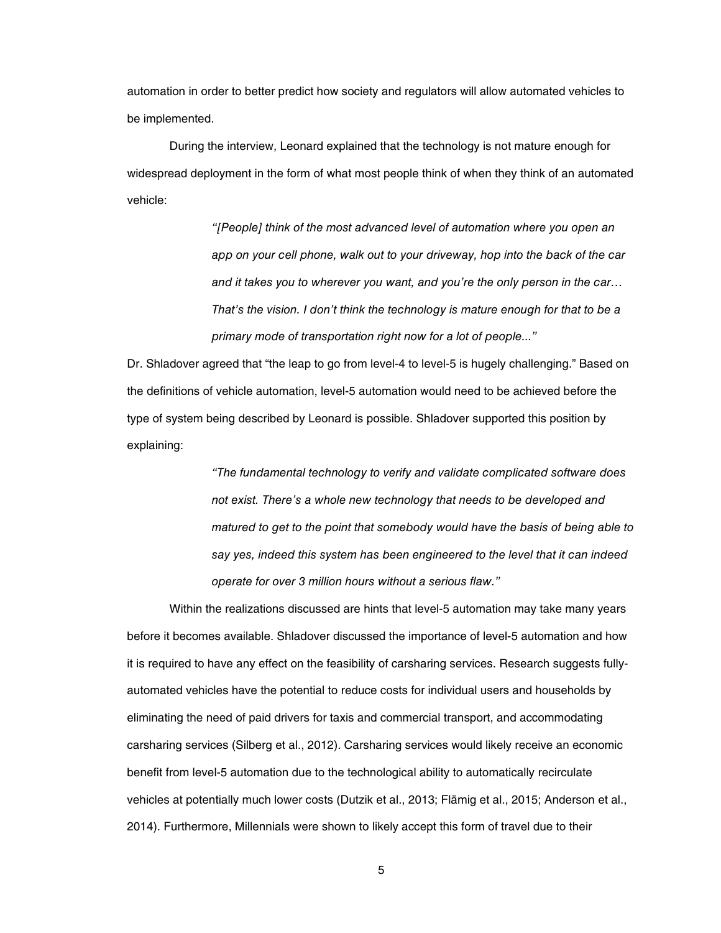automation in order to better predict how society and regulators will allow automated vehicles to be implemented.

During the interview, Leonard explained that the technology is not mature enough for widespread deployment in the form of what most people think of when they think of an automated vehicle:

> *"[People] think of the most advanced level of automation where you open an app on your cell phone, walk out to your driveway, hop into the back of the car and it takes you to wherever you want, and you're the only person in the car… That's the vision. I don't think the technology is mature enough for that to be a primary mode of transportation right now for a lot of people..."*

Dr. Shladover agreed that "the leap to go from level-4 to level-5 is hugely challenging." Based on the definitions of vehicle automation, level-5 automation would need to be achieved before the type of system being described by Leonard is possible. Shladover supported this position by explaining:

> *"The fundamental technology to verify and validate complicated software does not exist. There's a whole new technology that needs to be developed and matured to get to the point that somebody would have the basis of being able to say yes, indeed this system has been engineered to the level that it can indeed operate for over 3 million hours without a serious flaw."*

Within the realizations discussed are hints that level-5 automation may take many years before it becomes available. Shladover discussed the importance of level-5 automation and how it is required to have any effect on the feasibility of carsharing services. Research suggests fullyautomated vehicles have the potential to reduce costs for individual users and households by eliminating the need of paid drivers for taxis and commercial transport, and accommodating carsharing services (Silberg et al., 2012). Carsharing services would likely receive an economic benefit from level-5 automation due to the technological ability to automatically recirculate vehicles at potentially much lower costs (Dutzik et al., 2013; Flämig et al., 2015; Anderson et al., 2014). Furthermore, Millennials were shown to likely accept this form of travel due to their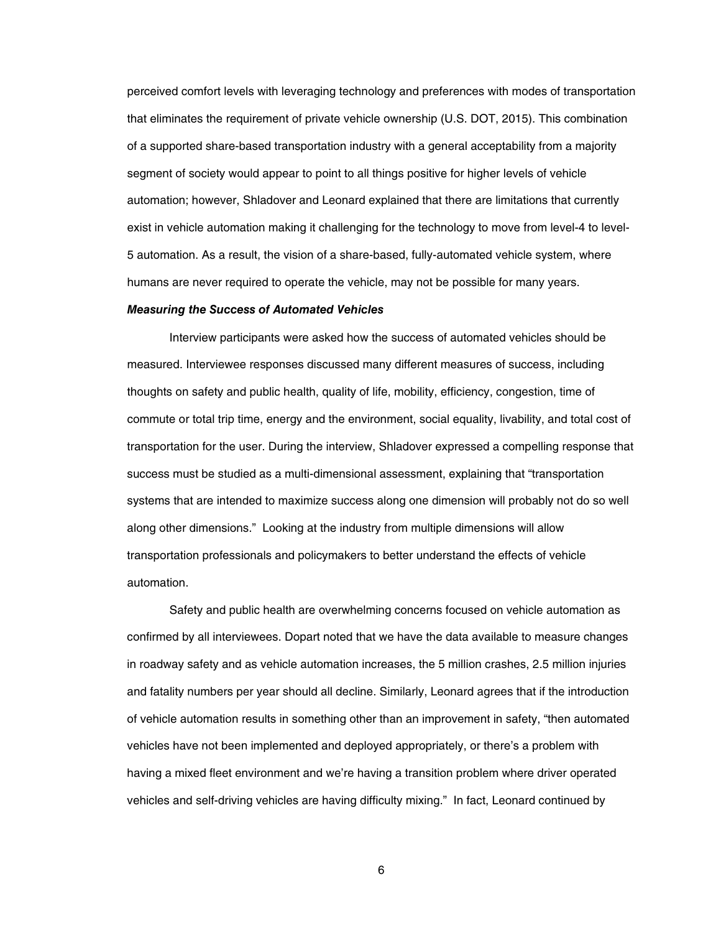perceived comfort levels with leveraging technology and preferences with modes of transportation that eliminates the requirement of private vehicle ownership (U.S. DOT, 2015). This combination of a supported share-based transportation industry with a general acceptability from a majority segment of society would appear to point to all things positive for higher levels of vehicle automation; however, Shladover and Leonard explained that there are limitations that currently exist in vehicle automation making it challenging for the technology to move from level-4 to level-5 automation. As a result, the vision of a share-based, fully-automated vehicle system, where humans are never required to operate the vehicle, may not be possible for many years.

## <span id="page-9-0"></span>*Measuring the Success of Automated Vehicles*

Interview participants were asked how the success of automated vehicles should be measured. Interviewee responses discussed many different measures of success, including thoughts on safety and public health, quality of life, mobility, efficiency, congestion, time of commute or total trip time, energy and the environment, social equality, livability, and total cost of transportation for the user. During the interview, Shladover expressed a compelling response that success must be studied as a multi-dimensional assessment, explaining that "transportation systems that are intended to maximize success along one dimension will probably not do so well along other dimensions." Looking at the industry from multiple dimensions will allow transportation professionals and policymakers to better understand the effects of vehicle automation.

Safety and public health are overwhelming concerns focused on vehicle automation as confirmed by all interviewees. Dopart noted that we have the data available to measure changes in roadway safety and as vehicle automation increases, the 5 million crashes, 2.5 million injuries and fatality numbers per year should all decline. Similarly, Leonard agrees that if the introduction of vehicle automation results in something other than an improvement in safety, "then automated vehicles have not been implemented and deployed appropriately, or there's a problem with having a mixed fleet environment and we're having a transition problem where driver operated vehicles and self-driving vehicles are having difficulty mixing." In fact, Leonard continued by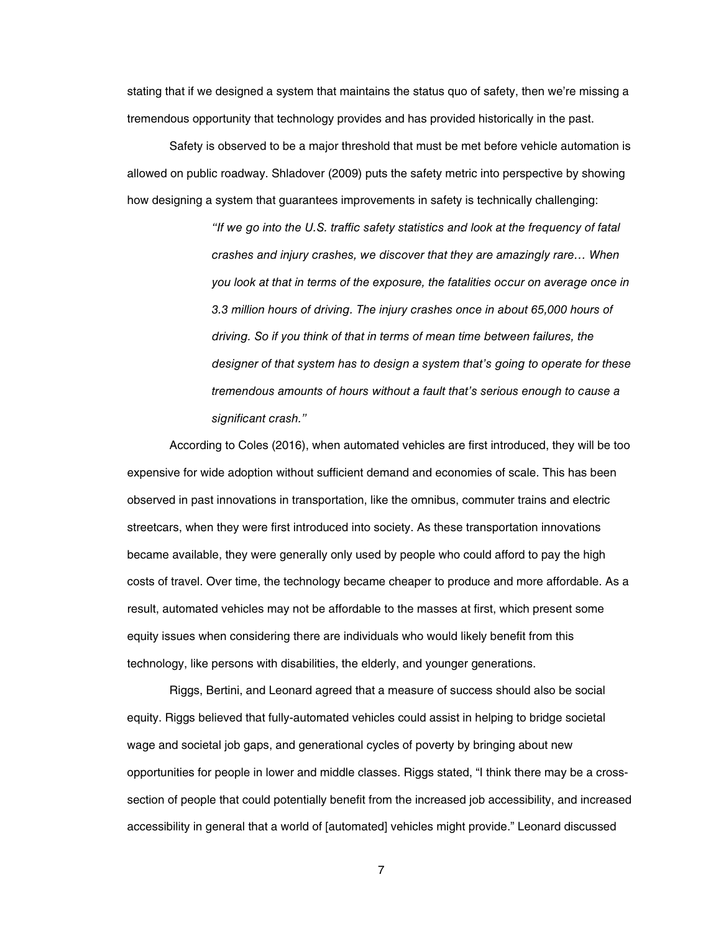stating that if we designed a system that maintains the status quo of safety, then we're missing a tremendous opportunity that technology provides and has provided historically in the past.

Safety is observed to be a major threshold that must be met before vehicle automation is allowed on public roadway. Shladover (2009) puts the safety metric into perspective by showing how designing a system that guarantees improvements in safety is technically challenging:

> *"If we go into the U.S. traffic safety statistics and look at the frequency of fatal crashes and injury crashes, we discover that they are amazingly rare… When you look at that in terms of the exposure, the fatalities occur on average once in 3.3 million hours of driving. The injury crashes once in about 65,000 hours of driving. So if you think of that in terms of mean time between failures, the designer of that system has to design a system that's going to operate for these tremendous amounts of hours without a fault that's serious enough to cause a significant crash."*

According to Coles (2016), when automated vehicles are first introduced, they will be too expensive for wide adoption without sufficient demand and economies of scale. This has been observed in past innovations in transportation, like the omnibus, commuter trains and electric streetcars, when they were first introduced into society. As these transportation innovations became available, they were generally only used by people who could afford to pay the high costs of travel. Over time, the technology became cheaper to produce and more affordable. As a result, automated vehicles may not be affordable to the masses at first, which present some equity issues when considering there are individuals who would likely benefit from this technology, like persons with disabilities, the elderly, and younger generations.

Riggs, Bertini, and Leonard agreed that a measure of success should also be social equity. Riggs believed that fully-automated vehicles could assist in helping to bridge societal wage and societal job gaps, and generational cycles of poverty by bringing about new opportunities for people in lower and middle classes. Riggs stated, "I think there may be a crosssection of people that could potentially benefit from the increased job accessibility, and increased accessibility in general that a world of [automated] vehicles might provide." Leonard discussed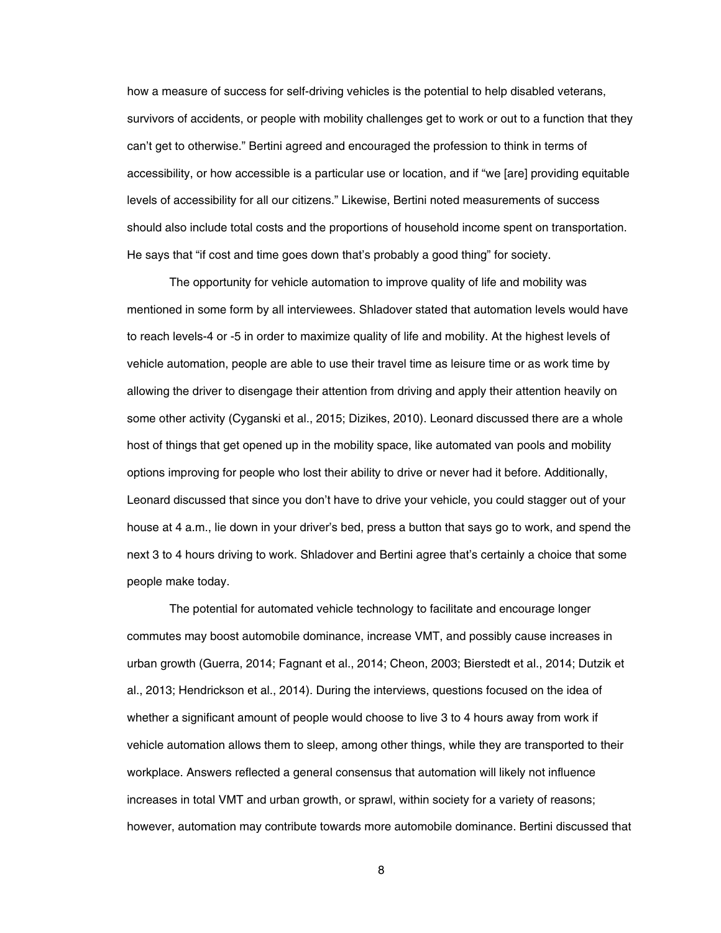how a measure of success for self-driving vehicles is the potential to help disabled veterans, survivors of accidents, or people with mobility challenges get to work or out to a function that they can't get to otherwise." Bertini agreed and encouraged the profession to think in terms of accessibility, or how accessible is a particular use or location, and if "we [are] providing equitable levels of accessibility for all our citizens." Likewise, Bertini noted measurements of success should also include total costs and the proportions of household income spent on transportation. He says that "if cost and time goes down that's probably a good thing" for society.

The opportunity for vehicle automation to improve quality of life and mobility was mentioned in some form by all interviewees. Shladover stated that automation levels would have to reach levels-4 or -5 in order to maximize quality of life and mobility. At the highest levels of vehicle automation, people are able to use their travel time as leisure time or as work time by allowing the driver to disengage their attention from driving and apply their attention heavily on some other activity (Cyganski et al., 2015; Dizikes, 2010). Leonard discussed there are a whole host of things that get opened up in the mobility space, like automated van pools and mobility options improving for people who lost their ability to drive or never had it before. Additionally, Leonard discussed that since you don't have to drive your vehicle, you could stagger out of your house at 4 a.m., lie down in your driver's bed, press a button that says go to work, and spend the next 3 to 4 hours driving to work. Shladover and Bertini agree that's certainly a choice that some people make today.

The potential for automated vehicle technology to facilitate and encourage longer commutes may boost automobile dominance, increase VMT, and possibly cause increases in urban growth (Guerra, 2014; Fagnant et al., 2014; Cheon, 2003; Bierstedt et al., 2014; Dutzik et al., 2013; Hendrickson et al., 2014). During the interviews, questions focused on the idea of whether a significant amount of people would choose to live 3 to 4 hours away from work if vehicle automation allows them to sleep, among other things, while they are transported to their workplace. Answers reflected a general consensus that automation will likely not influence increases in total VMT and urban growth, or sprawl, within society for a variety of reasons; however, automation may contribute towards more automobile dominance. Bertini discussed that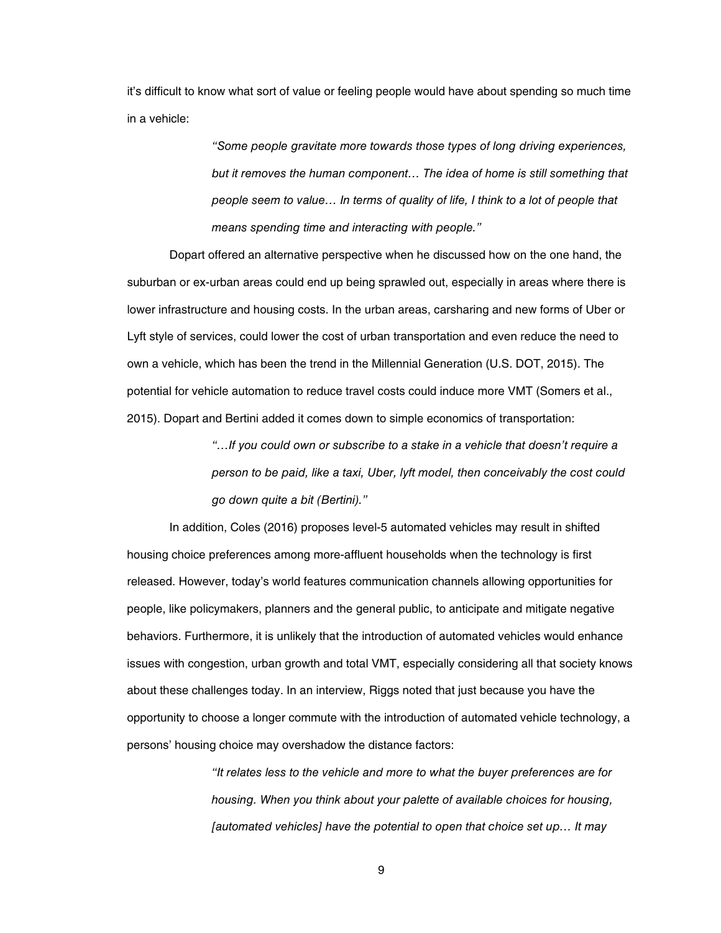it's difficult to know what sort of value or feeling people would have about spending so much time in a vehicle:

> *"Some people gravitate more towards those types of long driving experiences, but it removes the human component… The idea of home is still something that people seem to value… In terms of quality of life, I think to a lot of people that means spending time and interacting with people."*

Dopart offered an alternative perspective when he discussed how on the one hand, the suburban or ex-urban areas could end up being sprawled out, especially in areas where there is lower infrastructure and housing costs. In the urban areas, carsharing and new forms of Uber or Lyft style of services, could lower the cost of urban transportation and even reduce the need to own a vehicle, which has been the trend in the Millennial Generation (U.S. DOT, 2015). The potential for vehicle automation to reduce travel costs could induce more VMT (Somers et al., 2015). Dopart and Bertini added it comes down to simple economics of transportation:

> *"…If you could own or subscribe to a stake in a vehicle that doesn't require a person to be paid, like a taxi, Uber, lyft model, then conceivably the cost could go down quite a bit (Bertini)."*

In addition, Coles (2016) proposes level-5 automated vehicles may result in shifted housing choice preferences among more-affluent households when the technology is first released. However, today's world features communication channels allowing opportunities for people, like policymakers, planners and the general public, to anticipate and mitigate negative behaviors. Furthermore, it is unlikely that the introduction of automated vehicles would enhance issues with congestion, urban growth and total VMT, especially considering all that society knows about these challenges today. In an interview, Riggs noted that just because you have the opportunity to choose a longer commute with the introduction of automated vehicle technology, a persons' housing choice may overshadow the distance factors:

> *"It relates less to the vehicle and more to what the buyer preferences are for housing. When you think about your palette of available choices for housing, [automated vehicles] have the potential to open that choice set up… It may*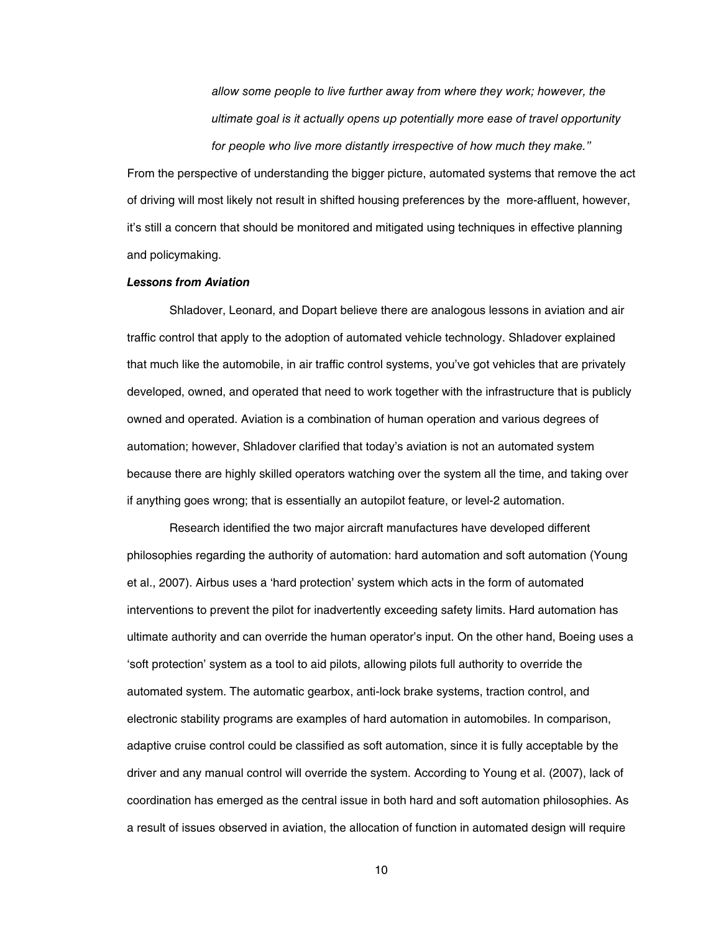*allow some people to live further away from where they work; however, the ultimate goal is it actually opens up potentially more ease of travel opportunity for people who live more distantly irrespective of how much they make."* 

From the perspective of understanding the bigger picture, automated systems that remove the act of driving will most likely not result in shifted housing preferences by the more-affluent, however, it's still a concern that should be monitored and mitigated using techniques in effective planning and policymaking.

#### <span id="page-13-0"></span>*Lessons from Aviation*

Shladover, Leonard, and Dopart believe there are analogous lessons in aviation and air traffic control that apply to the adoption of automated vehicle technology. Shladover explained that much like the automobile, in air traffic control systems, you've got vehicles that are privately developed, owned, and operated that need to work together with the infrastructure that is publicly owned and operated. Aviation is a combination of human operation and various degrees of automation; however, Shladover clarified that today's aviation is not an automated system because there are highly skilled operators watching over the system all the time, and taking over if anything goes wrong; that is essentially an autopilot feature, or level-2 automation.

Research identified the two major aircraft manufactures have developed different philosophies regarding the authority of automation: hard automation and soft automation (Young et al., 2007). Airbus uses a 'hard protection' system which acts in the form of automated interventions to prevent the pilot for inadvertently exceeding safety limits. Hard automation has ultimate authority and can override the human operator's input. On the other hand, Boeing uses a 'soft protection' system as a tool to aid pilots, allowing pilots full authority to override the automated system. The automatic gearbox, anti-lock brake systems, traction control, and electronic stability programs are examples of hard automation in automobiles. In comparison, adaptive cruise control could be classified as soft automation, since it is fully acceptable by the driver and any manual control will override the system. According to Young et al. (2007), lack of coordination has emerged as the central issue in both hard and soft automation philosophies. As a result of issues observed in aviation, the allocation of function in automated design will require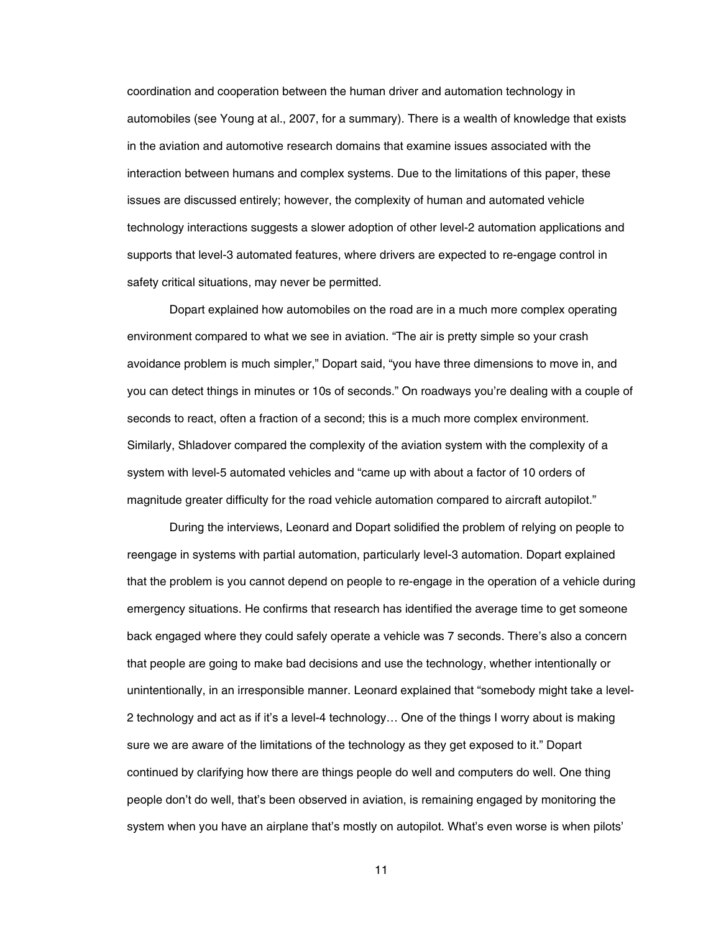coordination and cooperation between the human driver and automation technology in automobiles (see Young at al., 2007, for a summary). There is a wealth of knowledge that exists in the aviation and automotive research domains that examine issues associated with the interaction between humans and complex systems. Due to the limitations of this paper, these issues are discussed entirely; however, the complexity of human and automated vehicle technology interactions suggests a slower adoption of other level-2 automation applications and supports that level-3 automated features, where drivers are expected to re-engage control in safety critical situations, may never be permitted.

Dopart explained how automobiles on the road are in a much more complex operating environment compared to what we see in aviation. "The air is pretty simple so your crash avoidance problem is much simpler," Dopart said, "you have three dimensions to move in, and you can detect things in minutes or 10s of seconds." On roadways you're dealing with a couple of seconds to react, often a fraction of a second; this is a much more complex environment. Similarly, Shladover compared the complexity of the aviation system with the complexity of a system with level-5 automated vehicles and "came up with about a factor of 10 orders of magnitude greater difficulty for the road vehicle automation compared to aircraft autopilot."

During the interviews, Leonard and Dopart solidified the problem of relying on people to reengage in systems with partial automation, particularly level-3 automation. Dopart explained that the problem is you cannot depend on people to re-engage in the operation of a vehicle during emergency situations. He confirms that research has identified the average time to get someone back engaged where they could safely operate a vehicle was 7 seconds. There's also a concern that people are going to make bad decisions and use the technology, whether intentionally or unintentionally, in an irresponsible manner. Leonard explained that "somebody might take a level-2 technology and act as if it's a level-4 technology… One of the things I worry about is making sure we are aware of the limitations of the technology as they get exposed to it." Dopart continued by clarifying how there are things people do well and computers do well. One thing people don't do well, that's been observed in aviation, is remaining engaged by monitoring the system when you have an airplane that's mostly on autopilot. What's even worse is when pilots'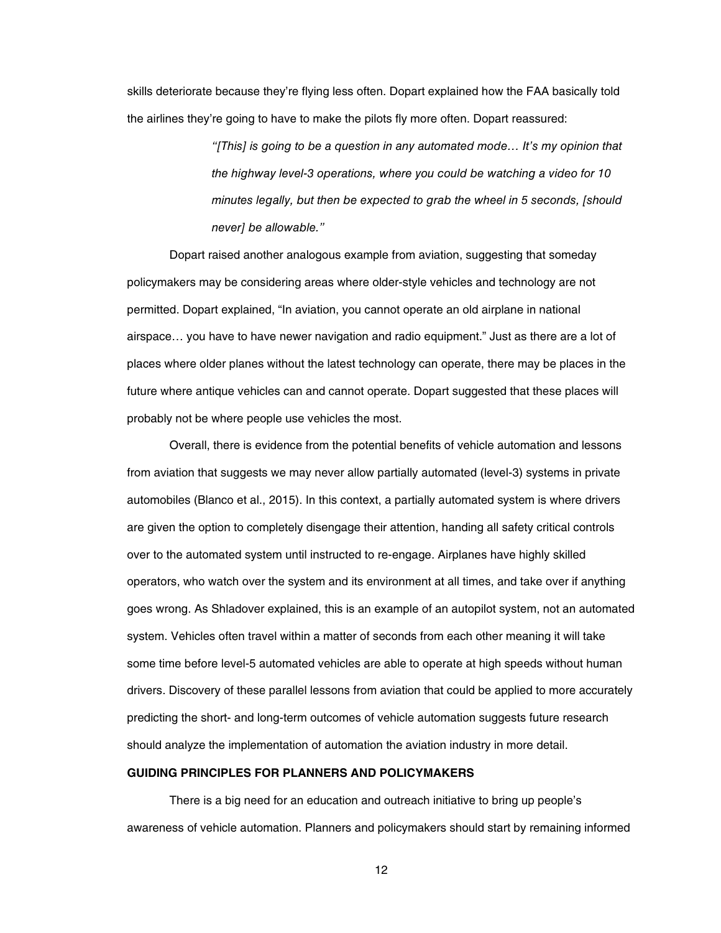skills deteriorate because they're flying less often. Dopart explained how the FAA basically told the airlines they're going to have to make the pilots fly more often. Dopart reassured:

> *"[This] is going to be a question in any automated mode… It's my opinion that the highway level-3 operations, where you could be watching a video for 10 minutes legally, but then be expected to grab the wheel in 5 seconds, [should never] be allowable."*

Dopart raised another analogous example from aviation, suggesting that someday policymakers may be considering areas where older-style vehicles and technology are not permitted. Dopart explained, "In aviation, you cannot operate an old airplane in national airspace… you have to have newer navigation and radio equipment." Just as there are a lot of places where older planes without the latest technology can operate, there may be places in the future where antique vehicles can and cannot operate. Dopart suggested that these places will probably not be where people use vehicles the most.

Overall, there is evidence from the potential benefits of vehicle automation and lessons from aviation that suggests we may never allow partially automated (level-3) systems in private automobiles (Blanco et al., 2015). In this context, a partially automated system is where drivers are given the option to completely disengage their attention, handing all safety critical controls over to the automated system until instructed to re-engage. Airplanes have highly skilled operators, who watch over the system and its environment at all times, and take over if anything goes wrong. As Shladover explained, this is an example of an autopilot system, not an automated system. Vehicles often travel within a matter of seconds from each other meaning it will take some time before level-5 automated vehicles are able to operate at high speeds without human drivers. Discovery of these parallel lessons from aviation that could be applied to more accurately predicting the short- and long-term outcomes of vehicle automation suggests future research should analyze the implementation of automation the aviation industry in more detail.

## <span id="page-15-0"></span>**GUIDING PRINCIPLES FOR PLANNERS AND POLICYMAKERS**

There is a big need for an education and outreach initiative to bring up people's awareness of vehicle automation. Planners and policymakers should start by remaining informed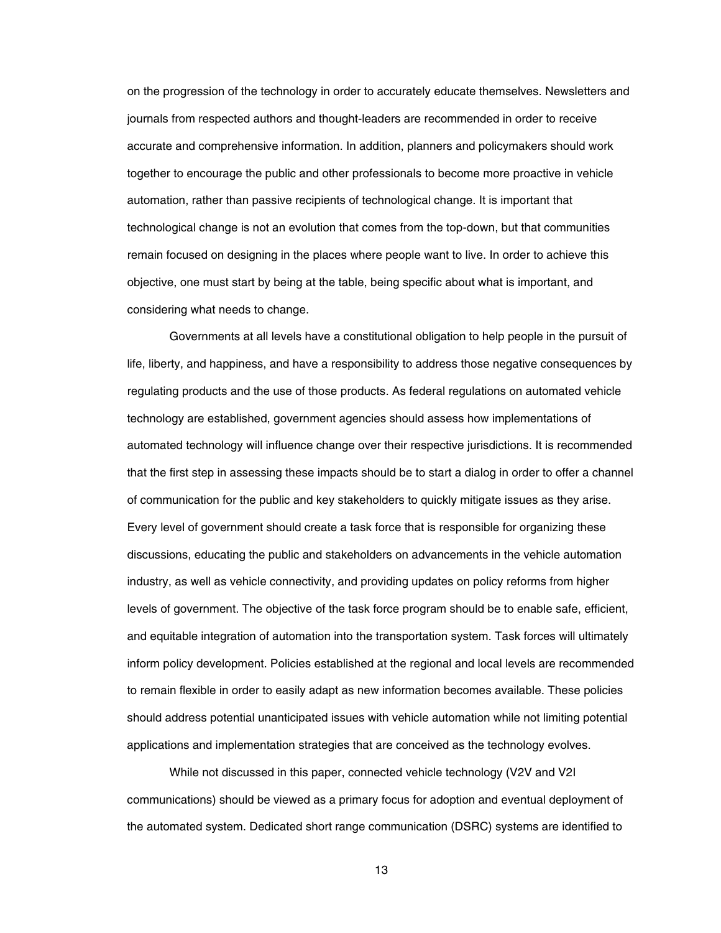on the progression of the technology in order to accurately educate themselves. Newsletters and journals from respected authors and thought-leaders are recommended in order to receive accurate and comprehensive information. In addition, planners and policymakers should work together to encourage the public and other professionals to become more proactive in vehicle automation, rather than passive recipients of technological change. It is important that technological change is not an evolution that comes from the top-down, but that communities remain focused on designing in the places where people want to live. In order to achieve this objective, one must start by being at the table, being specific about what is important, and considering what needs to change.

Governments at all levels have a constitutional obligation to help people in the pursuit of life, liberty, and happiness, and have a responsibility to address those negative consequences by regulating products and the use of those products. As federal regulations on automated vehicle technology are established, government agencies should assess how implementations of automated technology will influence change over their respective jurisdictions. It is recommended that the first step in assessing these impacts should be to start a dialog in order to offer a channel of communication for the public and key stakeholders to quickly mitigate issues as they arise. Every level of government should create a task force that is responsible for organizing these discussions, educating the public and stakeholders on advancements in the vehicle automation industry, as well as vehicle connectivity, and providing updates on policy reforms from higher levels of government. The objective of the task force program should be to enable safe, efficient, and equitable integration of automation into the transportation system. Task forces will ultimately inform policy development. Policies established at the regional and local levels are recommended to remain flexible in order to easily adapt as new information becomes available. These policies should address potential unanticipated issues with vehicle automation while not limiting potential applications and implementation strategies that are conceived as the technology evolves.

While not discussed in this paper, connected vehicle technology (V2V and V2I communications) should be viewed as a primary focus for adoption and eventual deployment of the automated system. Dedicated short range communication (DSRC) systems are identified to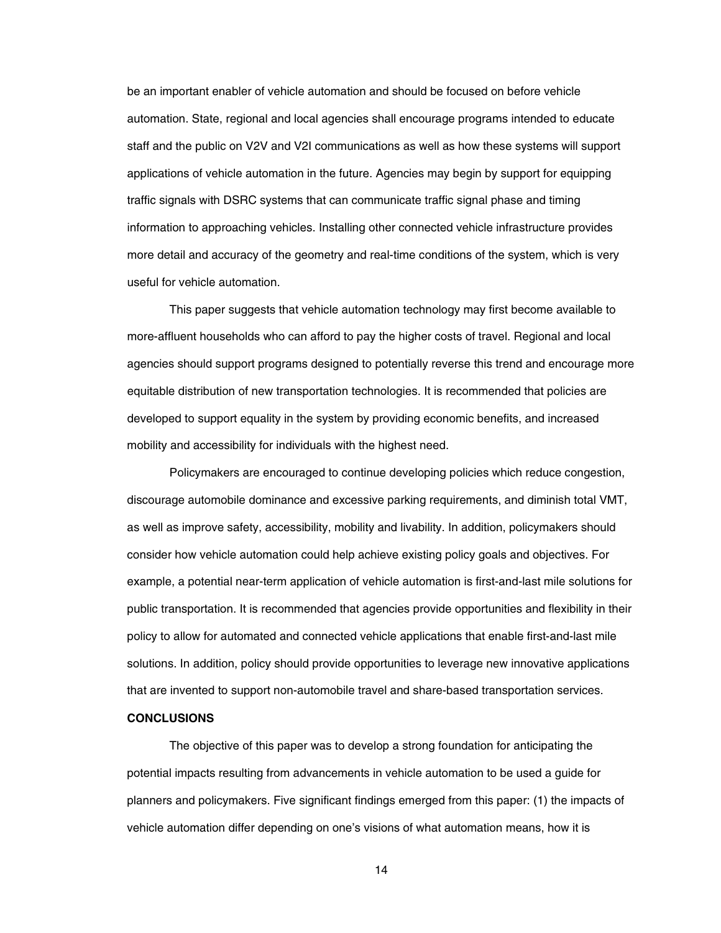be an important enabler of vehicle automation and should be focused on before vehicle automation. State, regional and local agencies shall encourage programs intended to educate staff and the public on V2V and V2I communications as well as how these systems will support applications of vehicle automation in the future. Agencies may begin by support for equipping traffic signals with DSRC systems that can communicate traffic signal phase and timing information to approaching vehicles. Installing other connected vehicle infrastructure provides more detail and accuracy of the geometry and real-time conditions of the system, which is very useful for vehicle automation.

This paper suggests that vehicle automation technology may first become available to more-affluent households who can afford to pay the higher costs of travel. Regional and local agencies should support programs designed to potentially reverse this trend and encourage more equitable distribution of new transportation technologies. It is recommended that policies are developed to support equality in the system by providing economic benefits, and increased mobility and accessibility for individuals with the highest need.

Policymakers are encouraged to continue developing policies which reduce congestion, discourage automobile dominance and excessive parking requirements, and diminish total VMT, as well as improve safety, accessibility, mobility and livability. In addition, policymakers should consider how vehicle automation could help achieve existing policy goals and objectives. For example, a potential near-term application of vehicle automation is first-and-last mile solutions for public transportation. It is recommended that agencies provide opportunities and flexibility in their policy to allow for automated and connected vehicle applications that enable first-and-last mile solutions. In addition, policy should provide opportunities to leverage new innovative applications that are invented to support non-automobile travel and share-based transportation services.

#### <span id="page-17-0"></span>**CONCLUSIONS**

The objective of this paper was to develop a strong foundation for anticipating the potential impacts resulting from advancements in vehicle automation to be used a guide for planners and policymakers. Five significant findings emerged from this paper: (1) the impacts of vehicle automation differ depending on one's visions of what automation means, how it is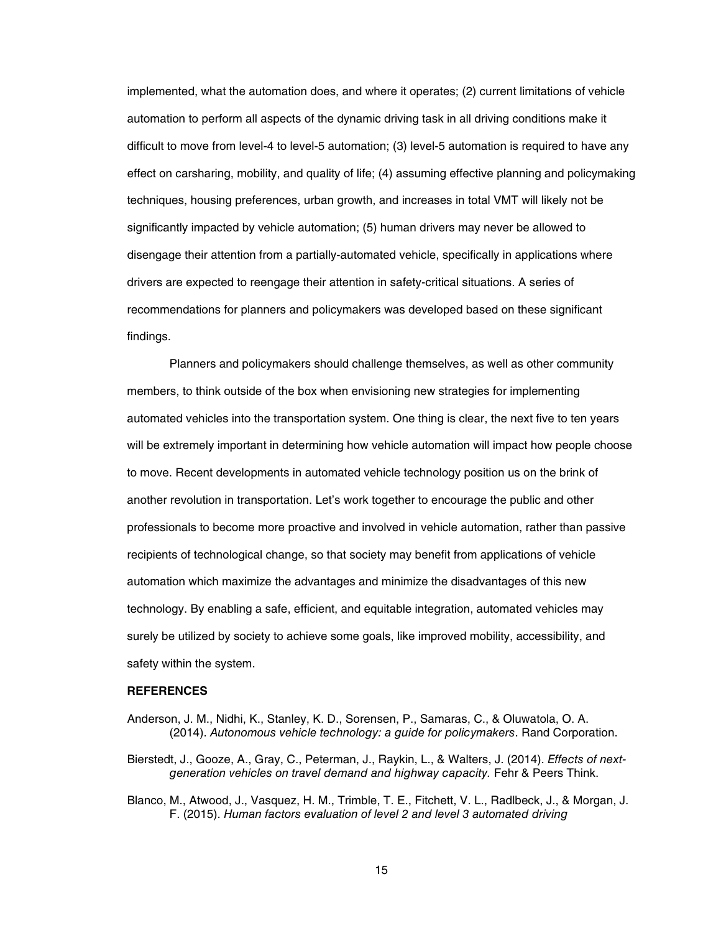implemented, what the automation does, and where it operates; (2) current limitations of vehicle automation to perform all aspects of the dynamic driving task in all driving conditions make it difficult to move from level-4 to level-5 automation; (3) level-5 automation is required to have any effect on carsharing, mobility, and quality of life; (4) assuming effective planning and policymaking techniques, housing preferences, urban growth, and increases in total VMT will likely not be significantly impacted by vehicle automation; (5) human drivers may never be allowed to disengage their attention from a partially-automated vehicle, specifically in applications where drivers are expected to reengage their attention in safety-critical situations. A series of recommendations for planners and policymakers was developed based on these significant findings.

Planners and policymakers should challenge themselves, as well as other community members, to think outside of the box when envisioning new strategies for implementing automated vehicles into the transportation system. One thing is clear, the next five to ten years will be extremely important in determining how vehicle automation will impact how people choose to move. Recent developments in automated vehicle technology position us on the brink of another revolution in transportation. Let's work together to encourage the public and other professionals to become more proactive and involved in vehicle automation, rather than passive recipients of technological change, so that society may benefit from applications of vehicle automation which maximize the advantages and minimize the disadvantages of this new technology. By enabling a safe, efficient, and equitable integration, automated vehicles may surely be utilized by society to achieve some goals, like improved mobility, accessibility, and safety within the system.

#### <span id="page-18-0"></span>**REFERENCES**

- Anderson, J. M., Nidhi, K., Stanley, K. D., Sorensen, P., Samaras, C., & Oluwatola, O. A. (2014). *Autonomous vehicle technology: a guide for policymakers*. Rand Corporation.
- Bierstedt, J., Gooze, A., Gray, C., Peterman, J., Raykin, L., & Walters, J. (2014). *Effects of nextgeneration vehicles on travel demand and highway capacity.* Fehr & Peers Think.
- Blanco, M., Atwood, J., Vasquez, H. M., Trimble, T. E., Fitchett, V. L., Radlbeck, J., & Morgan, J. F. (2015). *Human factors evaluation of level 2 and level 3 automated driving*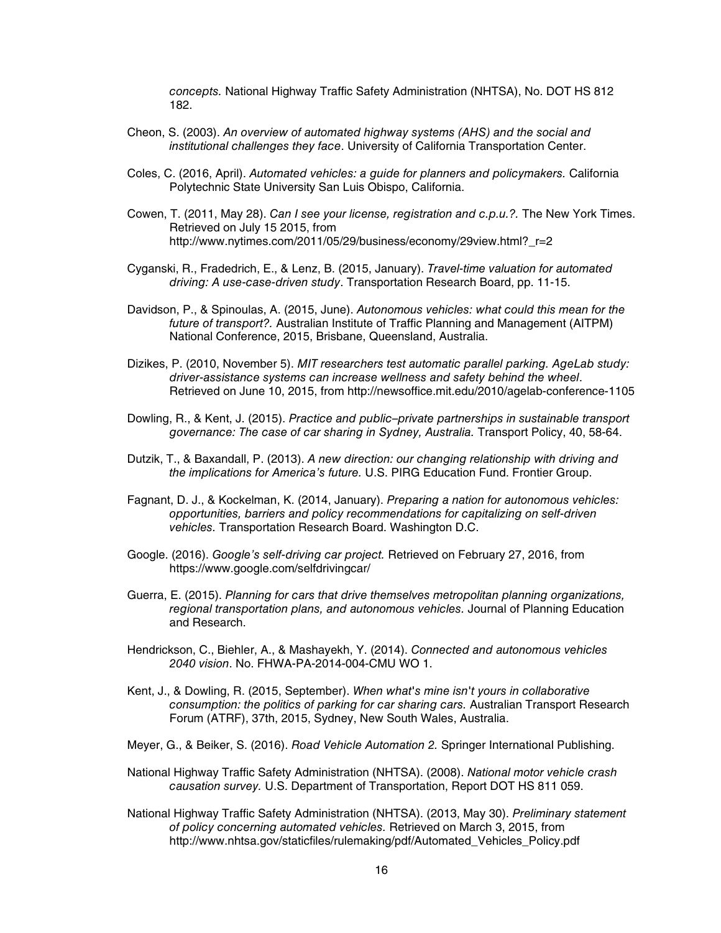*concepts.* National Highway Traffic Safety Administration (NHTSA), No. DOT HS 812 182.

- Cheon, S. (2003). *An overview of automated highway systems (AHS) and the social and institutional challenges they face*. University of California Transportation Center.
- Coles, C. (2016, April). *Automated vehicles: a guide for planners and policymakers.* California Polytechnic State University San Luis Obispo, California.
- Cowen, T. (2011, May 28). *Can I see your license, registration and c.p.u.?.* The New York Times. Retrieved on July 15 2015, from http://www.nytimes.com/2011/05/29/business/economy/29view.html? r=2
- Cyganski, R., Fradedrich, E., & Lenz, B. (2015, January). *Travel-time valuation for automated driving: A use-case-driven study*. Transportation Research Board, pp. 11-15.
- Davidson, P., & Spinoulas, A. (2015, June). *Autonomous vehicles: what could this mean for the future of transport?.* Australian Institute of Traffic Planning and Management (AITPM) National Conference, 2015, Brisbane, Queensland, Australia.
- Dizikes, P. (2010, November 5). *MIT researchers test automatic parallel parking. AgeLab study: driver-assistance systems can increase wellness and safety behind the wheel*. Retrieved on June 10, 2015, from http://newsoffice.mit.edu/2010/agelab-conference-1105
- Dowling, R., & Kent, J. (2015). *Practice and public–private partnerships in sustainable transport governance: The case of car sharing in Sydney, Australia.* Transport Policy, 40, 58-64.
- Dutzik, T., & Baxandall, P. (2013). *A new direction: our changing relationship with driving and the implications for America's future.* U.S. PIRG Education Fund. Frontier Group.
- Fagnant, D. J., & Kockelman, K. (2014, January). *Preparing a nation for autonomous vehicles: opportunities, barriers and policy recommendations for capitalizing on self-driven vehicles.* Transportation Research Board. Washington D.C.
- Google. (2016). *Google's self-driving car project.* Retrieved on February 27, 2016, from https://www.google.com/selfdrivingcar/
- Guerra, E. (2015). *Planning for cars that drive themselves metropolitan planning organizations, regional transportation plans, and autonomous vehicles.* Journal of Planning Education and Research.
- Hendrickson, C., Biehler, A., & Mashayekh, Y. (2014). *Connected and autonomous vehicles 2040 vision*. No. FHWA-PA-2014-004-CMU WO 1.
- Kent, J., & Dowling, R. (2015, September). *When what's mine isn't yours in collaborative consumption: the politics of parking for car sharing cars.* Australian Transport Research Forum (ATRF), 37th, 2015, Sydney, New South Wales, Australia.
- Meyer, G., & Beiker, S. (2016). *Road Vehicle Automation 2.* Springer International Publishing.
- National Highway Traffic Safety Administration (NHTSA). (2008). *National motor vehicle crash causation survey.* U.S. Department of Transportation, Report DOT HS 811 059.
- National Highway Traffic Safety Administration (NHTSA). (2013, May 30). *Preliminary statement of policy concerning automated vehicles.* Retrieved on March 3, 2015, from http://www.nhtsa.gov/staticfiles/rulemaking/pdf/Automated Vehicles Policy.pdf